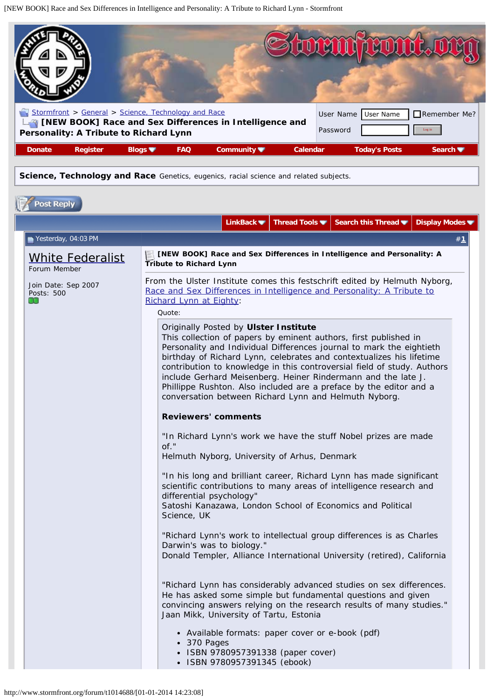<span id="page-0-0"></span>[NEW BOOK] Race and Sex Differences in Intelligence and Personality: A Tribute to Richard Lynn - Stormfront

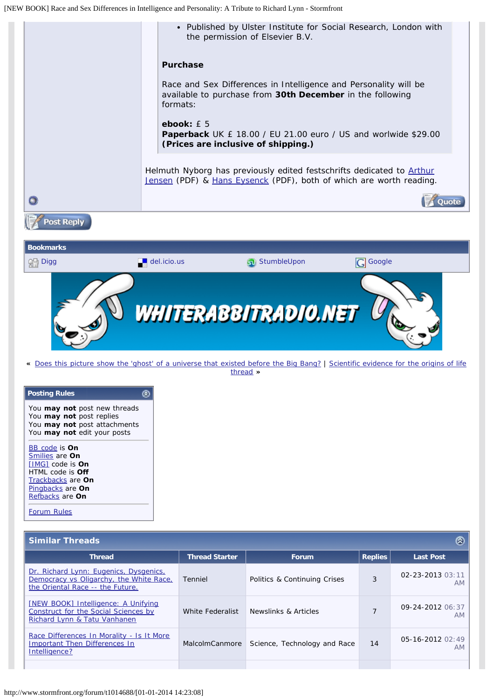<span id="page-1-0"></span>

**«** [Does this picture show the 'ghost' of a universe that existed before the Big Bang?](http://www.stormfront.org/forum/t894022/) | [Scientific evidence for the origins of life](http://www.stormfront.org/forum/t863097/) [thread](http://www.stormfront.org/forum/t863097/) **»**

| <b>Posting Rules</b>                                                                                                                     |  |
|------------------------------------------------------------------------------------------------------------------------------------------|--|
| You may not post new threads<br>You may not post replies<br>You may not post attachments<br>You may not edit your posts<br>BB code is On |  |
| Smilies are On                                                                                                                           |  |
| <b>IMGI</b> code is <b>On</b>                                                                                                            |  |
| HTML code is <b>Off</b>                                                                                                                  |  |
| Trackbacks are On                                                                                                                        |  |
| Pingbacks are On                                                                                                                         |  |
| Refbacks are On                                                                                                                          |  |
|                                                                                                                                          |  |

[Forum Rules](http://www.stormfront.org/forum/misc.php?do=showrules)

| <b>Similar Threads</b><br>O)                                                                                          |                       |                              |                |                            |
|-----------------------------------------------------------------------------------------------------------------------|-----------------------|------------------------------|----------------|----------------------------|
| <b>Thread</b>                                                                                                         | <b>Thread Starter</b> | <b>Forum</b>                 | <b>Replies</b> | <b>Last Post</b>           |
| Dr. Richard Lynn: Eugenics, Dysgenics,<br>Democracy vs Oligarchy, the White Race,<br>the Oriental Race -- the Future. | Tenniel               | Politics & Continuing Crises | 3              | 02-23-2013 03:11<br>AM     |
| <b>[NEW BOOK] Intelligence: A Unifying</b><br>Construct for the Social Sciences by<br>Richard Lynn & Tatu Vanhanen    | White Federalist      | Newslinks & Articles         |                | 09-24-2012 06:37<br>AM     |
| Race Differences In Morality - Is It More<br>Important Then Differences In<br>Intelligence?                           | <b>MalcolmCanmore</b> | Science, Technology and Race | 14             | $05-16-2012$ $02:49$<br>AM |
|                                                                                                                       |                       |                              |                |                            |